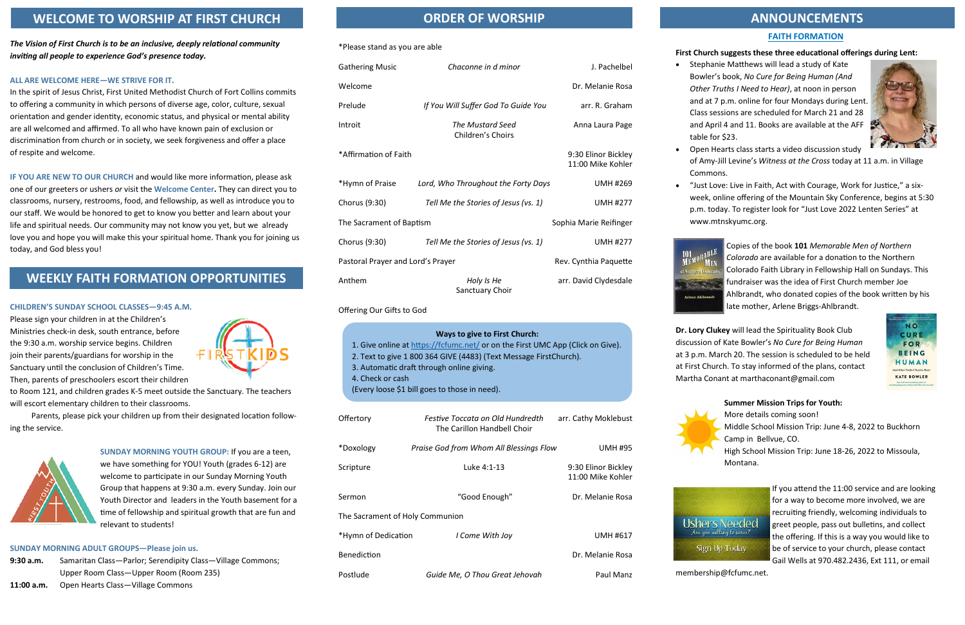## **FAITH FORMATION**

### **First Church suggests these three educational offerings during Lent:**

• Stephanie Matthews will lead a study of Kate Bowler's book, *No Cure for Being Human (And Other Truths I Need to Hear)*, at noon in person and at 7 p.m. online for four Mondays during Lent. Class sessions are scheduled for March 21 and 28 and April 4 and 11. Books are available at the AFF table for \$23.

• Open Hearts class starts a video discussion study of Amy-Jill Levine's *Witness at the Cross* today at 11 a.m. in Village Commons.

• "Just Love: Live in Faith, Act with Courage, Work for Justice," a sixweek, online offering of the Mountain Sky Conference, begins at 5:30 p.m. today. To register look for "Just Love 2022 Lenten Series" at www.mtnskyumc.org.

> Copies of the book **101** *Memorable Men of Northern Colorado* are available for a donation to the Northern Colorado Faith Library in Fellowship Hall on Sundays. This fundraiser was the idea of First Church member Joe Ahlbrandt, who donated copies of the book written by his late mother, Arlene Briggs-Ahlbrandt.

**Dr. Lory Clukey** will lead the Spirituality Book Club discussion of Kate Bowler's *No Cure for Being Human*  at 3 p.m. March 20. The session is scheduled to be held at First Church. To stay informed of the plans, contact Martha Conant at marthaconant@gmail.com

**Summer Mission Trips for Youth:**

More details coming soon! Middle School Mission Trip: June 4-8, 2022 to Buckhorn Camp in Bellvue, CO.

High School Mission Trip: June 18-26, 2022 to Missoula, Montana.

> If you attend the 11:00 service and are looking for a way to become more involved, we are recruiting friendly, welcoming individuals to greet people, pass out bulletins, and collect the offering. If this is a way you would like to be of service to your church, please contact Gail Wells at 970.482.2436, Ext 111, or email





membership@fcfumc.net.

#### \*Please stand as you are able

| <b>Gathering Music</b>            | Chaconne in d minor                   | J. Pachelbel                             |
|-----------------------------------|---------------------------------------|------------------------------------------|
| Welcome                           |                                       | Dr. Melanie Rosa                         |
| Prelude                           | If You Will Suffer God To Guide You   | arr. R. Graham                           |
| Introit                           | The Mustard Seed<br>Children's Choirs | Anna Laura Page                          |
| *Affirmation of Faith             |                                       | 9:30 Elinor Bickley<br>11:00 Mike Kohler |
| *Hymn of Praise                   | Lord, Who Throughout the Forty Days   | <b>UMH #269</b>                          |
| Chorus (9:30)                     | Tell Me the Stories of Jesus (vs. 1)  | <b>UMH #277</b>                          |
| The Sacrament of Baptism          |                                       | Sophia Marie Reifinger                   |
| Chorus (9:30)                     | Tell Me the Stories of Jesus (vs. 1)  | <b>UMH #277</b>                          |
| Pastoral Prayer and Lord's Prayer |                                       | Rev. Cynthia Paquette                    |
| Anthem                            | Holy Is He<br>Sanctuary Choir         | arr. David Clydesdale                    |

Offering Our Gifts to God

| Offertory                       | Festive Toccata on Old Hundredth<br>The Carillon Handbell Choir | arr. Cathy Moklebust                     |  |  |
|---------------------------------|-----------------------------------------------------------------|------------------------------------------|--|--|
| *Doxology                       | Praise God from Whom All Blessings Flow                         | <b>UMH #95</b>                           |  |  |
| Scripture                       | Luke 4:1-13                                                     | 9:30 Elinor Bickley<br>11:00 Mike Kohler |  |  |
| Sermon                          | "Good Enough"                                                   | Dr. Melanie Rosa                         |  |  |
| The Sacrament of Holy Communion |                                                                 |                                          |  |  |
| *Hymn of Dedication             | I Come With Joy                                                 | <b>UMH #617</b>                          |  |  |
| <b>Benediction</b>              |                                                                 | Dr. Melanie Rosa                         |  |  |
| Postlude                        | Guide Me, O Thou Great Jehovah                                  | Paul Manz                                |  |  |



101 ORABLE

**ANTERN Arlene Ahlbrand** 



*The Vision of First Church is to be an inclusive, deeply relational community inviting all people to experience God's presence today.*

#### **ALL ARE WELCOME HERE—WE STRIVE FOR IT.**

In the spirit of Jesus Christ, First United Methodist Church of Fort Collins commits to offering a community in which persons of diverse age, color, culture, sexual orientation and gender identity, economic status, and physical or mental ability are all welcomed and affirmed. To all who have known pain of exclusion or discrimination from church or in society, we seek forgiveness and offer a place of respite and welcome.

**IF YOU ARE NEW TO OUR CHURCH** and would like more information, please ask one of our greeters or ushers *or* visit the **Welcome Center.** They can direct you to classrooms, nursery, restrooms, food, and fellowship, as well as introduce you to our staff. We would be honored to get to know you better and learn about your life and spiritual needs. Our community may not know you yet, but we already love you and hope you will make this your spiritual home. Thank you for joining us today, and God bless you!

#### **CHILDREN'S SUNDAY SCHOOL CLASSES—9:45 A.M.**

Please sign your children in at the Children's Ministries check-in desk, south entrance, before the 9:30 a.m. worship service begins. Children join their parents/guardians for worship in the Sanctuary until the conclusion of Children's Time. Then, parents of preschoolers escort their children



to Room 121, and children grades K-5 meet outside the Sanctuary. The teachers will escort elementary children to their classrooms.

Parents, please pick your children up from their designated location following the service.



**SUNDAY MORNING YOUTH GROUP:** If you are a teen, we have something for YOU! Youth (grades 6-12) are welcome to participate in our Sunday Morning Youth Group that happens at 9:30 a.m. every Sunday. Join our Youth Director and leaders in the Youth basement for a time of fellowship and spiritual growth that are fun and relevant to students!

#### **SUNDAY MORNING ADULT GROUPS—Please join us.**

```
9:30 a.m. Samaritan Class—Parlor; Serendipity Class—Village Commons; 
Upper Room Class—Upper Room (Room 235)
```
# **ORDER OF WORSHIP ANNOUNCEMENTS**

**11:00 a.m.** Open Hearts Class—Village Commons

| Ways to give to First Church:                                                  |  |  |
|--------------------------------------------------------------------------------|--|--|
| 1. Give online at https://fcfumc.net/ or on the First UMC App (Click on Give). |  |  |
| 2. Text to give 1 800 364 GIVE (4483) (Text Message FirstChurch).              |  |  |

- 3. Automatic draft through online giving.
- 4. Check or cash
- (Every loose \$1 bill goes to those in need).

# **WELCOME TO WORSHIP AT FIRST CHURCH**

# **WEEKLY FAITH FORMATION OPPORTUNITIES**